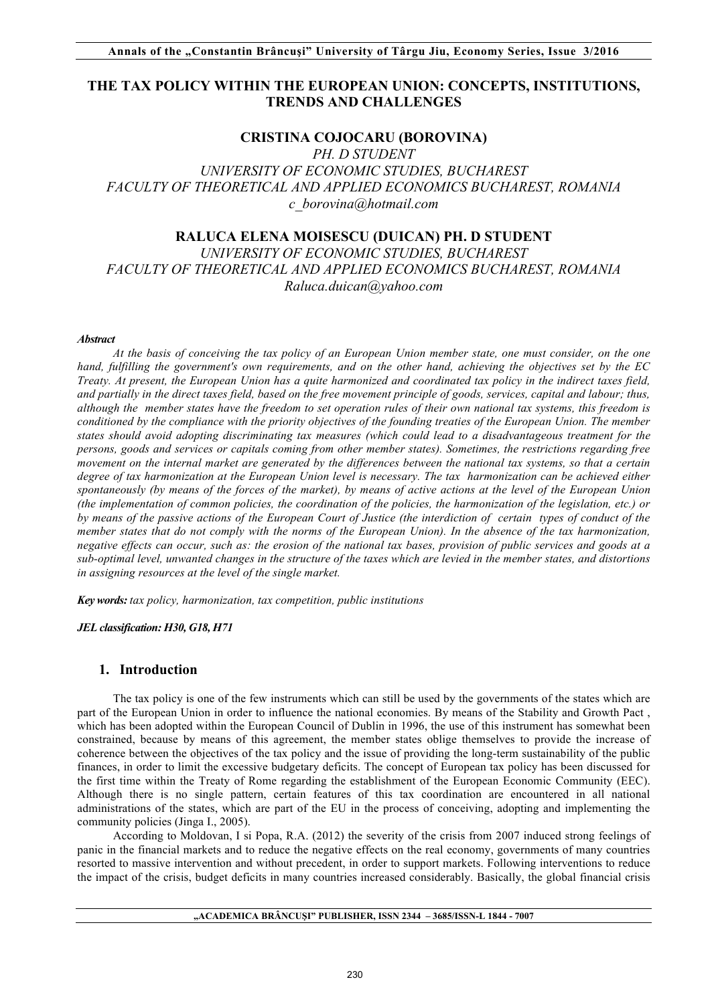# **THE TAX POLICY WITHIN THE EUROPEAN UNION: CONCEPTS, INSTITUTIONS, TRENDS AND CHALLENGES**

### **CRISTINA COJOCARU (BOROVINA)**

*PH. D STUDENT UNIVERSITY OF ECONOMIC STUDIES, BUCHAREST FACULTY OF THEORETICAL AND APPLIED ECONOMICS BUCHAREST, ROMANIA c\_borovina@hotmail.com* 

# **RALUCA ELENA MOISESCU (DUICAN) PH. D STUDENT**

*UNIVERSITY OF ECONOMIC STUDIES, BUCHAREST FACULTY OF THEORETICAL AND APPLIED ECONOMICS BUCHAREST, ROMANIA Raluca.duican@yahoo.com* 

#### *Abstract*

*At the basis of conceiving the tax policy of an European Union member state, one must consider, on the one hand, fulfilling the government's own requirements, and on the other hand, achieving the objectives set by the EC Treaty. At present, the European Union has a quite harmonized and coordinated tax policy in the indirect taxes field, and partially in the direct taxes field, based on the free movement principle of goods, services, capital and labour; thus, although the member states have the freedom to set operation rules of their own national tax systems, this freedom is conditioned by the compliance with the priority objectives of the founding treaties of the European Union. The member states should avoid adopting discriminating tax measures (which could lead to a disadvantageous treatment for the persons, goods and services or capitals coming from other member states). Sometimes, the restrictions regarding free movement on the internal market are generated by the differences between the national tax systems, so that a certain degree of tax harmonization at the European Union level is necessary. The tax harmonization can be achieved either spontaneously (by means of the forces of the market), by means of active actions at the level of the European Union (the implementation of common policies, the coordination of the policies, the harmonization of the legislation, etc.) or by means of the passive actions of the European Court of Justice (the interdiction of certain types of conduct of the member states that do not comply with the norms of the European Union). In the absence of the tax harmonization, negative effects can occur, such as: the erosion of the national tax bases, provision of public services and goods at a sub-optimal level, unwanted changes in the structure of the taxes which are levied in the member states, and distortions in assigning resources at the level of the single market.*

*Key words: tax policy, harmonization, tax competition, public institutions*

*JEL classification: H30, G18, H71*

#### **1. Introduction**

The tax policy is one of the few instruments which can still be used by the governments of the states which are part of the European Union in order to influence the national economies. By means of the Stability and Growth Pact , which has been adopted within the European Council of Dublin in 1996, the use of this instrument has somewhat been constrained, because by means of this agreement, the member states oblige themselves to provide the increase of coherence between the objectives of the tax policy and the issue of providing the long-term sustainability of the public finances, in order to limit the excessive budgetary deficits. The concept of European tax policy has been discussed for the first time within the Treaty of Rome regarding the establishment of the European Economic Community (EEC). Although there is no single pattern, certain features of this tax coordination are encountered in all national administrations of the states, which are part of the EU in the process of conceiving, adopting and implementing the community policies (Jinga I., 2005).

According to Moldovan, I si Popa, R.A. (2012) the severity of the crisis from 2007 induced strong feelings of panic in the financial markets and to reduce the negative effects on the real economy, governments of many countries resorted to massive intervention and without precedent, in order to support markets. Following interventions to reduce the impact of the crisis, budget deficits in many countries increased considerably. Basically, the global financial crisis

#### **"ACADEMICA BRÂNCUŞI" PUBLISHER, ISSN 2344 – 3685/ISSN-L 1844 - 7007**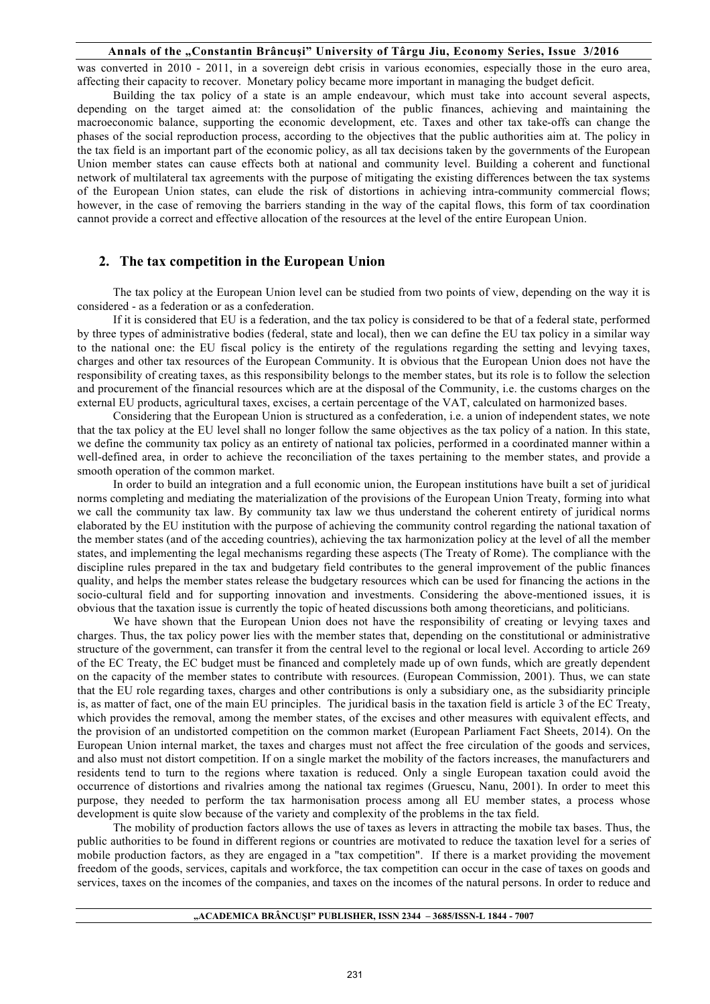was converted in 2010 - 2011, in a sovereign debt crisis in various economies, especially those in the euro area, affecting their capacity to recover. Monetary policy became more important in managing the budget deficit.

Building the tax policy of a state is an ample endeavour, which must take into account several aspects, depending on the target aimed at: the consolidation of the public finances, achieving and maintaining the macroeconomic balance, supporting the economic development, etc. Taxes and other tax take-offs can change the phases of the social reproduction process, according to the objectives that the public authorities aim at. The policy in the tax field is an important part of the economic policy, as all tax decisions taken by the governments of the European Union member states can cause effects both at national and community level. Building a coherent and functional network of multilateral tax agreements with the purpose of mitigating the existing differences between the tax systems of the European Union states, can elude the risk of distortions in achieving intra-community commercial flows; however, in the case of removing the barriers standing in the way of the capital flows, this form of tax coordination cannot provide a correct and effective allocation of the resources at the level of the entire European Union.

#### **2. The tax competition in the European Union**

The tax policy at the European Union level can be studied from two points of view, depending on the way it is considered - as a federation or as a confederation.

If it is considered that EU is a federation, and the tax policy is considered to be that of a federal state, performed by three types of administrative bodies (federal, state and local), then we can define the EU tax policy in a similar way to the national one: the EU fiscal policy is the entirety of the regulations regarding the setting and levying taxes, charges and other tax resources of the European Community. It is obvious that the European Union does not have the responsibility of creating taxes, as this responsibility belongs to the member states, but its role is to follow the selection and procurement of the financial resources which are at the disposal of the Community, i.e. the customs charges on the external EU products, agricultural taxes, excises, a certain percentage of the VAT, calculated on harmonized bases.

Considering that the European Union is structured as a confederation, i.e. a union of independent states, we note that the tax policy at the EU level shall no longer follow the same objectives as the tax policy of a nation. In this state, we define the community tax policy as an entirety of national tax policies, performed in a coordinated manner within a well-defined area, in order to achieve the reconciliation of the taxes pertaining to the member states, and provide a smooth operation of the common market.

In order to build an integration and a full economic union, the European institutions have built a set of juridical norms completing and mediating the materialization of the provisions of the European Union Treaty, forming into what we call the community tax law. By community tax law we thus understand the coherent entirety of juridical norms elaborated by the EU institution with the purpose of achieving the community control regarding the national taxation of the member states (and of the acceding countries), achieving the tax harmonization policy at the level of all the member states, and implementing the legal mechanisms regarding these aspects (The Treaty of Rome). The compliance with the discipline rules prepared in the tax and budgetary field contributes to the general improvement of the public finances quality, and helps the member states release the budgetary resources which can be used for financing the actions in the socio-cultural field and for supporting innovation and investments. Considering the above-mentioned issues, it is obvious that the taxation issue is currently the topic of heated discussions both among theoreticians, and politicians.

We have shown that the European Union does not have the responsibility of creating or levying taxes and charges. Thus, the tax policy power lies with the member states that, depending on the constitutional or administrative structure of the government, can transfer it from the central level to the regional or local level. According to article 269 of the EC Treaty, the EC budget must be financed and completely made up of own funds, which are greatly dependent on the capacity of the member states to contribute with resources. (European Commission, 2001). Thus, we can state that the EU role regarding taxes, charges and other contributions is only a subsidiary one, as the subsidiarity principle is, as matter of fact, one of the main EU principles. The juridical basis in the taxation field is article 3 of the EC Treaty, which provides the removal, among the member states, of the excises and other measures with equivalent effects, and the provision of an undistorted competition on the common market (European Parliament Fact Sheets, 2014). On the European Union internal market, the taxes and charges must not affect the free circulation of the goods and services, and also must not distort competition. If on a single market the mobility of the factors increases, the manufacturers and residents tend to turn to the regions where taxation is reduced. Only a single European taxation could avoid the occurrence of distortions and rivalries among the national tax regimes (Gruescu, Nanu, 2001). In order to meet this purpose, they needed to perform the tax harmonisation process among all EU member states, a process whose development is quite slow because of the variety and complexity of the problems in the tax field.

The mobility of production factors allows the use of taxes as levers in attracting the mobile tax bases. Thus, the public authorities to be found in different regions or countries are motivated to reduce the taxation level for a series of mobile production factors, as they are engaged in a "tax competition". If there is a market providing the movement freedom of the goods, services, capitals and workforce, the tax competition can occur in the case of taxes on goods and services, taxes on the incomes of the companies, and taxes on the incomes of the natural persons. In order to reduce and

#### **"ACADEMICA BRÂNCUŞI" PUBLISHER, ISSN 2344 – 3685/ISSN-L 1844 - 7007**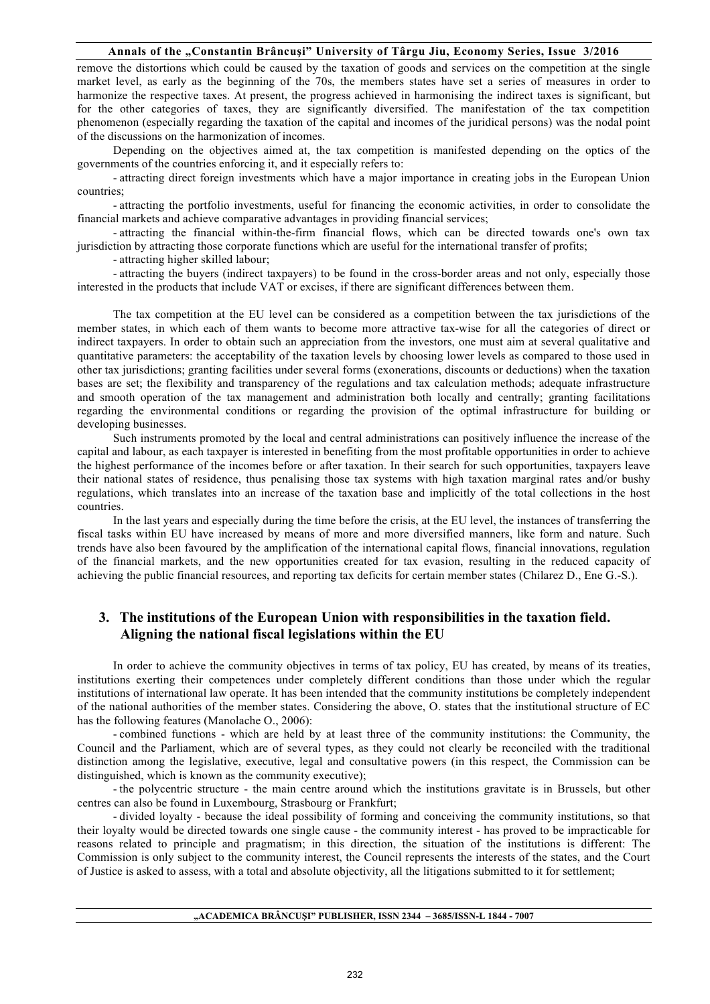remove the distortions which could be caused by the taxation of goods and services on the competition at the single market level, as early as the beginning of the 70s, the members states have set a series of measures in order to harmonize the respective taxes. At present, the progress achieved in harmonising the indirect taxes is significant, but for the other categories of taxes, they are significantly diversified. The manifestation of the tax competition phenomenon (especially regarding the taxation of the capital and incomes of the juridical persons) was the nodal point of the discussions on the harmonization of incomes.

Depending on the objectives aimed at, the tax competition is manifested depending on the optics of the governments of the countries enforcing it, and it especially refers to:

- attracting direct foreign investments which have a major importance in creating jobs in the European Union countries;

- attracting the portfolio investments, useful for financing the economic activities, in order to consolidate the financial markets and achieve comparative advantages in providing financial services;

- attracting the financial within-the-firm financial flows, which can be directed towards one's own tax jurisdiction by attracting those corporate functions which are useful for the international transfer of profits;

- attracting higher skilled labour;

- attracting the buyers (indirect taxpayers) to be found in the cross-border areas and not only, especially those interested in the products that include VAT or excises, if there are significant differences between them.

The tax competition at the EU level can be considered as a competition between the tax jurisdictions of the member states, in which each of them wants to become more attractive tax-wise for all the categories of direct or indirect taxpayers. In order to obtain such an appreciation from the investors, one must aim at several qualitative and quantitative parameters: the acceptability of the taxation levels by choosing lower levels as compared to those used in other tax jurisdictions; granting facilities under several forms (exonerations, discounts or deductions) when the taxation bases are set; the flexibility and transparency of the regulations and tax calculation methods; adequate infrastructure and smooth operation of the tax management and administration both locally and centrally; granting facilitations regarding the environmental conditions or regarding the provision of the optimal infrastructure for building or developing businesses.

Such instruments promoted by the local and central administrations can positively influence the increase of the capital and labour, as each taxpayer is interested in benefiting from the most profitable opportunities in order to achieve the highest performance of the incomes before or after taxation. In their search for such opportunities, taxpayers leave their national states of residence, thus penalising those tax systems with high taxation marginal rates and/or bushy regulations, which translates into an increase of the taxation base and implicitly of the total collections in the host countries.

In the last years and especially during the time before the crisis, at the EU level, the instances of transferring the fiscal tasks within EU have increased by means of more and more diversified manners, like form and nature. Such trends have also been favoured by the amplification of the international capital flows, financial innovations, regulation of the financial markets, and the new opportunities created for tax evasion, resulting in the reduced capacity of achieving the public financial resources, and reporting tax deficits for certain member states (Chilarez D., Ene G.-S.).

## **3. The institutions of the European Union with responsibilities in the taxation field. Aligning the national fiscal legislations within the EU**

In order to achieve the community objectives in terms of tax policy, EU has created, by means of its treaties, institutions exerting their competences under completely different conditions than those under which the regular institutions of international law operate. It has been intended that the community institutions be completely independent of the national authorities of the member states. Considering the above, O. states that the institutional structure of EC has the following features (Manolache O., 2006):

- combined functions - which are held by at least three of the community institutions: the Community, the Council and the Parliament, which are of several types, as they could not clearly be reconciled with the traditional distinction among the legislative, executive, legal and consultative powers (in this respect, the Commission can be distinguished, which is known as the community executive);

- the polycentric structure - the main centre around which the institutions gravitate is in Brussels, but other centres can also be found in Luxembourg, Strasbourg or Frankfurt;

- divided loyalty - because the ideal possibility of forming and conceiving the community institutions, so that their loyalty would be directed towards one single cause - the community interest - has proved to be impracticable for reasons related to principle and pragmatism; in this direction, the situation of the institutions is different: The Commission is only subject to the community interest, the Council represents the interests of the states, and the Court of Justice is asked to assess, with a total and absolute objectivity, all the litigations submitted to it for settlement;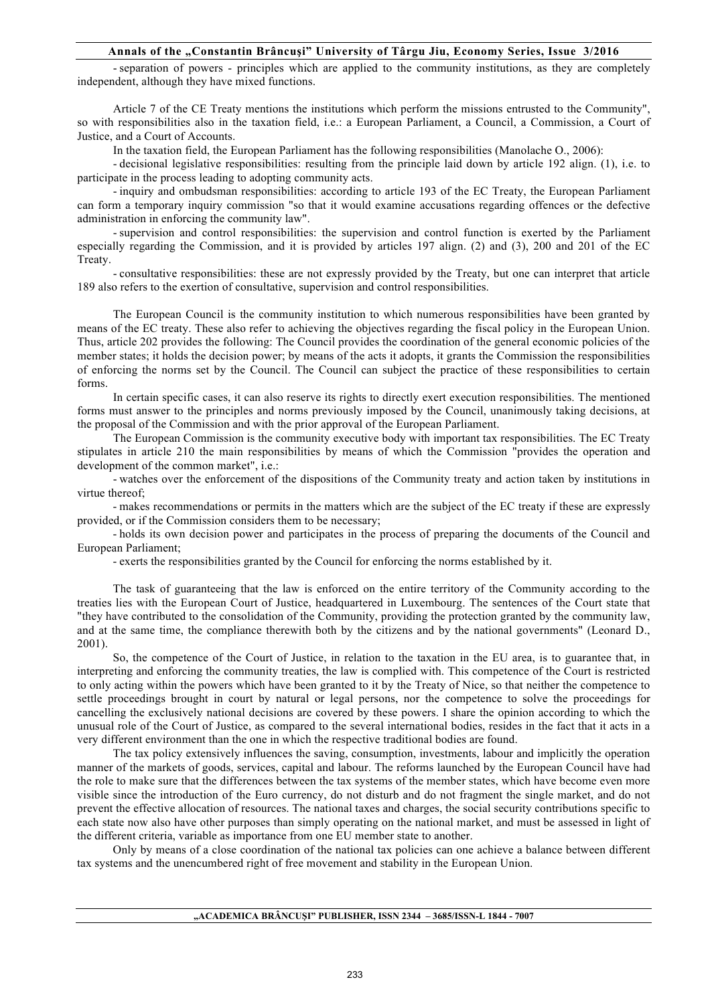- separation of powers - principles which are applied to the community institutions, as they are completely independent, although they have mixed functions.

Article 7 of the CE Treaty mentions the institutions which perform the missions entrusted to the Community", so with responsibilities also in the taxation field, i.e.: a European Parliament, a Council, a Commission, a Court of Justice, and a Court of Accounts.

In the taxation field, the European Parliament has the following responsibilities (Manolache O., 2006):

- decisional legislative responsibilities: resulting from the principle laid down by article 192 align. (1), i.e. to participate in the process leading to adopting community acts.

- inquiry and ombudsman responsibilities: according to article 193 of the EC Treaty, the European Parliament can form a temporary inquiry commission "so that it would examine accusations regarding offences or the defective administration in enforcing the community law".

- supervision and control responsibilities: the supervision and control function is exerted by the Parliament especially regarding the Commission, and it is provided by articles 197 align. (2) and (3), 200 and 201 of the EC Treaty.

- consultative responsibilities: these are not expressly provided by the Treaty, but one can interpret that article 189 also refers to the exertion of consultative, supervision and control responsibilities.

The European Council is the community institution to which numerous responsibilities have been granted by means of the EC treaty. These also refer to achieving the objectives regarding the fiscal policy in the European Union. Thus, article 202 provides the following: The Council provides the coordination of the general economic policies of the member states; it holds the decision power; by means of the acts it adopts, it grants the Commission the responsibilities of enforcing the norms set by the Council. The Council can subject the practice of these responsibilities to certain forms.

In certain specific cases, it can also reserve its rights to directly exert execution responsibilities. The mentioned forms must answer to the principles and norms previously imposed by the Council, unanimously taking decisions, at the proposal of the Commission and with the prior approval of the European Parliament.

The European Commission is the community executive body with important tax responsibilities. The EC Treaty stipulates in article 210 the main responsibilities by means of which the Commission "provides the operation and development of the common market", i.e.:

- watches over the enforcement of the dispositions of the Community treaty and action taken by institutions in virtue thereof;

- makes recommendations or permits in the matters which are the subject of the EC treaty if these are expressly provided, or if the Commission considers them to be necessary;

- holds its own decision power and participates in the process of preparing the documents of the Council and European Parliament;

- exerts the responsibilities granted by the Council for enforcing the norms established by it.

The task of guaranteeing that the law is enforced on the entire territory of the Community according to the treaties lies with the European Court of Justice, headquartered in Luxembourg. The sentences of the Court state that "they have contributed to the consolidation of the Community, providing the protection granted by the community law, and at the same time, the compliance therewith both by the citizens and by the national governments" (Leonard D., 2001).

So, the competence of the Court of Justice, in relation to the taxation in the EU area, is to guarantee that, in interpreting and enforcing the community treaties, the law is complied with. This competence of the Court is restricted to only acting within the powers which have been granted to it by the Treaty of Nice, so that neither the competence to settle proceedings brought in court by natural or legal persons, nor the competence to solve the proceedings for cancelling the exclusively national decisions are covered by these powers. I share the opinion according to which the unusual role of the Court of Justice, as compared to the several international bodies, resides in the fact that it acts in a very different environment than the one in which the respective traditional bodies are found.

The tax policy extensively influences the saving, consumption, investments, labour and implicitly the operation manner of the markets of goods, services, capital and labour. The reforms launched by the European Council have had the role to make sure that the differences between the tax systems of the member states, which have become even more visible since the introduction of the Euro currency, do not disturb and do not fragment the single market, and do not prevent the effective allocation of resources. The national taxes and charges, the social security contributions specific to each state now also have other purposes than simply operating on the national market, and must be assessed in light of the different criteria, variable as importance from one EU member state to another.

Only by means of a close coordination of the national tax policies can one achieve a balance between different tax systems and the unencumbered right of free movement and stability in the European Union.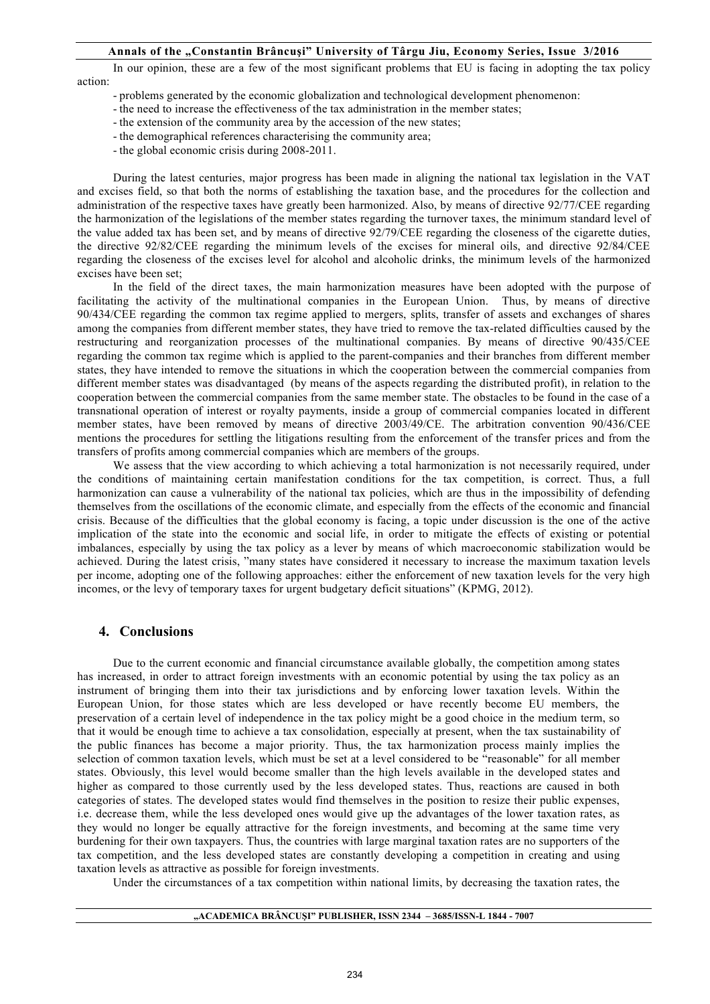In our opinion, these are a few of the most significant problems that EU is facing in adopting the tax policy action:

- problems generated by the economic globalization and technological development phenomenon:

- the need to increase the effectiveness of the tax administration in the member states;

- the extension of the community area by the accession of the new states;
- the demographical references characterising the community area;
- the global economic crisis during 2008-2011.

During the latest centuries, major progress has been made in aligning the national tax legislation in the VAT and excises field, so that both the norms of establishing the taxation base, and the procedures for the collection and administration of the respective taxes have greatly been harmonized. Also, by means of directive 92/77/CEE regarding the harmonization of the legislations of the member states regarding the turnover taxes, the minimum standard level of the value added tax has been set, and by means of directive 92/79/CEE regarding the closeness of the cigarette duties, the directive 92/82/CEE regarding the minimum levels of the excises for mineral oils, and directive 92/84/CEE regarding the closeness of the excises level for alcohol and alcoholic drinks, the minimum levels of the harmonized excises have been set;

In the field of the direct taxes, the main harmonization measures have been adopted with the purpose of facilitating the activity of the multinational companies in the European Union. Thus, by means of directive 90/434/CEE regarding the common tax regime applied to mergers, splits, transfer of assets and exchanges of shares among the companies from different member states, they have tried to remove the tax-related difficulties caused by the restructuring and reorganization processes of the multinational companies. By means of directive 90/435/CEE regarding the common tax regime which is applied to the parent-companies and their branches from different member states, they have intended to remove the situations in which the cooperation between the commercial companies from different member states was disadvantaged (by means of the aspects regarding the distributed profit), in relation to the cooperation between the commercial companies from the same member state. The obstacles to be found in the case of a transnational operation of interest or royalty payments, inside a group of commercial companies located in different member states, have been removed by means of directive 2003/49/CE. The arbitration convention 90/436/CEE mentions the procedures for settling the litigations resulting from the enforcement of the transfer prices and from the transfers of profits among commercial companies which are members of the groups.

We assess that the view according to which achieving a total harmonization is not necessarily required, under the conditions of maintaining certain manifestation conditions for the tax competition, is correct. Thus, a full harmonization can cause a vulnerability of the national tax policies, which are thus in the impossibility of defending themselves from the oscillations of the economic climate, and especially from the effects of the economic and financial crisis. Because of the difficulties that the global economy is facing, a topic under discussion is the one of the active implication of the state into the economic and social life, in order to mitigate the effects of existing or potential imbalances, especially by using the tax policy as a lever by means of which macroeconomic stabilization would be achieved. During the latest crisis, "many states have considered it necessary to increase the maximum taxation levels per income, adopting one of the following approaches: either the enforcement of new taxation levels for the very high incomes, or the levy of temporary taxes for urgent budgetary deficit situations" (KPMG, 2012).

### **4. Conclusions**

Due to the current economic and financial circumstance available globally, the competition among states has increased, in order to attract foreign investments with an economic potential by using the tax policy as an instrument of bringing them into their tax jurisdictions and by enforcing lower taxation levels. Within the European Union, for those states which are less developed or have recently become EU members, the preservation of a certain level of independence in the tax policy might be a good choice in the medium term, so that it would be enough time to achieve a tax consolidation, especially at present, when the tax sustainability of the public finances has become a major priority. Thus, the tax harmonization process mainly implies the selection of common taxation levels, which must be set at a level considered to be "reasonable" for all member states. Obviously, this level would become smaller than the high levels available in the developed states and higher as compared to those currently used by the less developed states. Thus, reactions are caused in both categories of states. The developed states would find themselves in the position to resize their public expenses, i.e. decrease them, while the less developed ones would give up the advantages of the lower taxation rates, as they would no longer be equally attractive for the foreign investments, and becoming at the same time very burdening for their own taxpayers. Thus, the countries with large marginal taxation rates are no supporters of the tax competition, and the less developed states are constantly developing a competition in creating and using taxation levels as attractive as possible for foreign investments.

Under the circumstances of a tax competition within national limits, by decreasing the taxation rates, the

#### **"ACADEMICA BRÂNCUŞI" PUBLISHER, ISSN 2344 – 3685/ISSN-L 1844 - 7007**